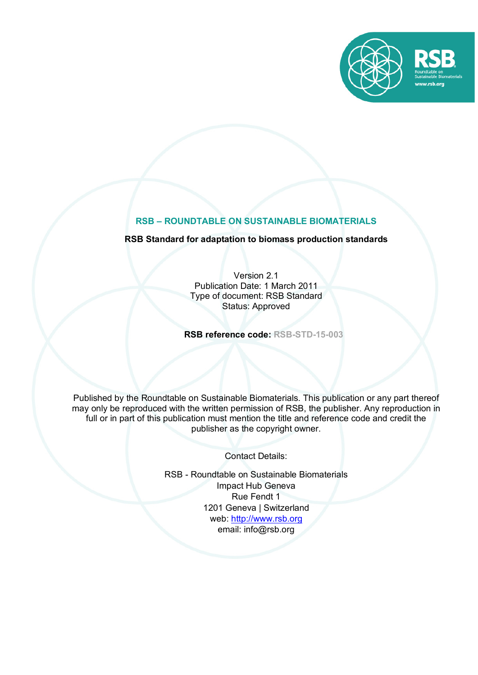

# **RSB – ROUNDTABLE ON SUSTAINABLE BIOMATERIALS**

# **RSB Standard for adaptation to biomass production standards**

Version 2.1 Publication Date: 1 March 2011 Type of document: RSB Standard Status: Approved

**RSB reference code: RSB-STD-15-003**

Published by the Roundtable on Sustainable Biomaterials. This publication or any part thereof may only be reproduced with the written permission of RSB, the publisher. Any reproduction in full or in part of this publication must mention the title and reference code and credit the publisher as the copyright owner.

Contact Details:

RSB - Roundtable on Sustainable Biomaterials Impact Hub Geneva Rue Fendt 1 1201 Geneva | Switzerland web: http://www.rsb.org email: info@rsb.org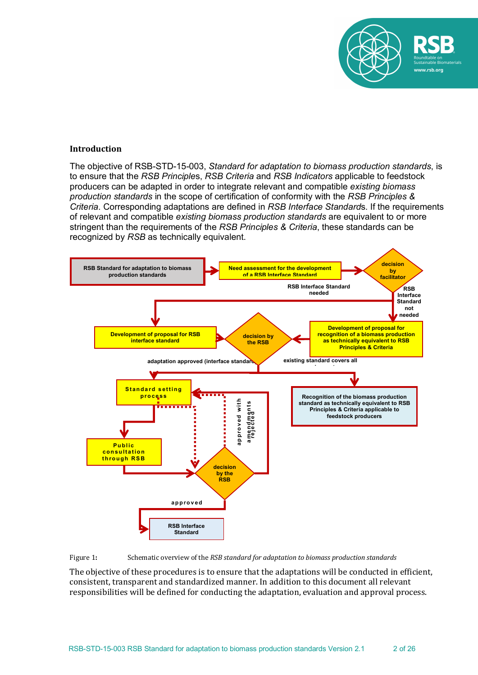

#### **Introduction**

The objective of RSB-STD-15-003, *Standard for adaptation to biomass production standards*, is to ensure that the *RSB Principle*s, *RSB Criteria* and *RSB Indicators* applicable to feedstock producers can be adapted in order to integrate relevant and compatible *existing biomass production standards* in the scope of certification of conformity with the *RSB Principles & Criteria*. Corresponding adaptations are defined in *RSB Interface Standard*s. If the requirements of relevant and compatible *existing biomass production standards* are equivalent to or more stringent than the requirements of the *RSB Principles & Criteria*, these standards can be recognized by *RSB* as technically equivalent.





The objective of these procedures is to ensure that the adaptations will be conducted in efficient, consistent, transparent and standardized manner. In addition to this document all relevant responsibilities will be defined for conducting the adaptation, evaluation and approval process.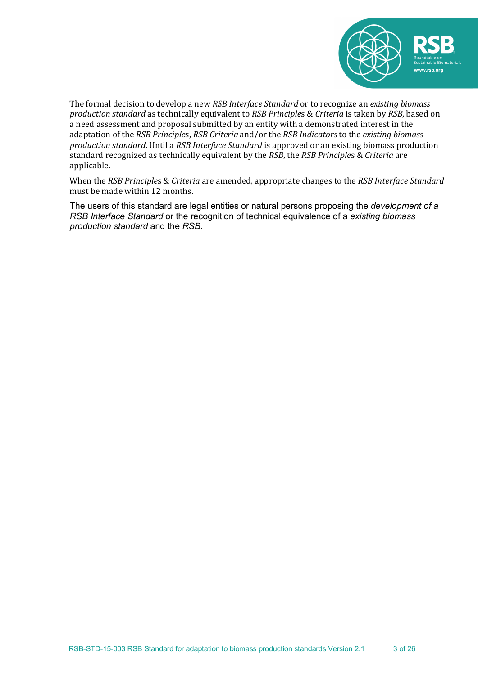

The formal decision to develop a new *RSB Interface Standard* or to recognize an *existing biomass production standard* as technically equivalent to *RSB Principles & Criteria* is taken by *RSB*, based on a need assessment and proposal submitted by an entity with a demonstrated interest in the adaptation of the *RSB Principles*, *RSB Criteria* and/or the *RSB Indicators* to the *existing biomass production standard*. Until a *RSB Interface Standard* is approved or an existing biomass production standard recognized as technically equivalent by the *RSB*, the *RSB Principles* & *Criteria* are applicable. 

When the *RSB Principles* & *Criteria* are amended, appropriate changes to the *RSB Interface Standard* must be made within 12 months.

The users of this standard are legal entities or natural persons proposing the *development of a RSB Interface Standard* or the recognition of technical equivalence of a *existing biomass production standard* and the *RSB*.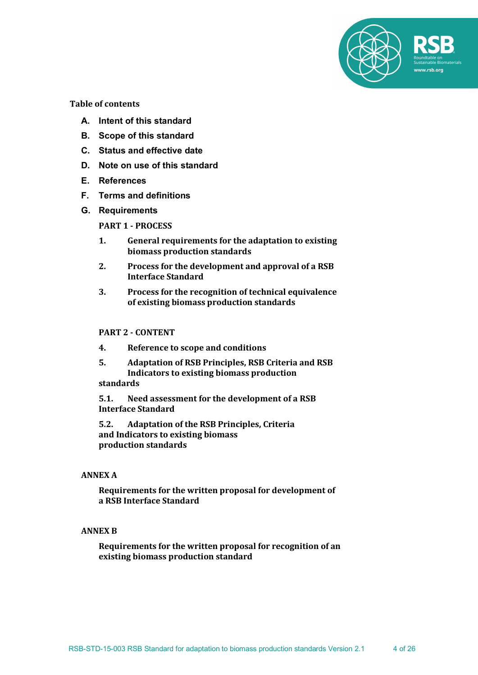

**Table of contents**

- **A. Intent of this standard**
- **B. Scope of this standard**
- **C. Status and effective date**
- **D. Note on use of this standard**
- **E. References**
- **F. Terms and definitions**
- **G. Requirements**

**PART 1 - PROCESS**

- **1.** General requirements for the adaptation to existing **biomass production standards**
- 2. Process for the development and approval of a RSB **Interface Standard**
- **3.** Process for the recognition of technical equivalence **of existing biomass production standards**

#### **PART 2 - CONTENT**

- **4. Reference to scope and conditions**
- **5. Adaptation of RSB Principles, RSB Criteria and RSB Indicators to existing biomass production**

# **standards**

5.1. Need assessment for the development of a RSB **Interface Standard**

**5.2. Adaptation of the RSB Principles, Criteria** and Indicators to existing biomass **production standards**

#### **ANNEX A**

Requirements for the written proposal for development of **a RSB Interface Standard**

#### **ANNEX B**

**Requirements for the written proposal for recognition of an existing biomass production standard**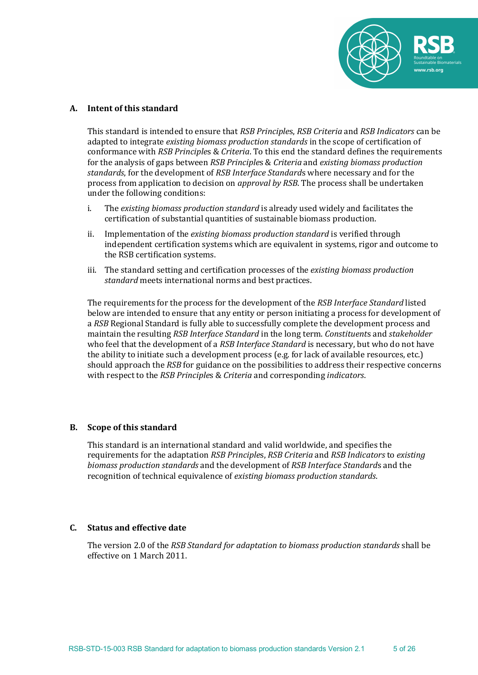

#### **A. Intent of this standard**

This standard is intended to ensure that *RSB Principles, RSB Criteria* and *RSB Indicators* can be adapted to integrate *existing biomass production standards* in the scope of certification of conformance with *RSB Principles & Criteria*. To this end the standard defines the requirements for the analysis of gaps between *RSB Principles & Criteria* and *existing biomass production* standards, for the development of *RSB Interface Standards* where necessary and for the process from application to decision on *approval by RSB*. The process shall be undertaken under the following conditions:

- i. The *existing biomass production standard* is already used widely and facilitates the certification of substantial quantities of sustainable biomass production.
- ii. Implementation of the *existing biomass production standard* is verified through independent certification systems which are equivalent in systems, rigor and outcome to the RSB certification systems.
- iii. The standard setting and certification processes of the *existing biomass production standard* meets international norms and best practices.

The requirements for the process for the development of the *RSB Interface Standard* listed below are intended to ensure that any entity or person initiating a process for development of a *RSB* Regional Standard is fully able to successfully complete the development process and maintain the resulting *RSB Interface Standard* in the long term. *Constituents* and *stakeholder* who feel that the development of a *RSB Interface Standard* is necessary, but who do not have the ability to initiate such a development process (e.g. for lack of available resources, etc.) should approach the *RSB* for guidance on the possibilities to address their respective concerns with respect to the *RSB Principles & Criteria* and corresponding *indicators*.

#### **B.** Scope of this standard

This standard is an international standard and valid worldwide, and specifies the requirements for the adaptation *RSB Principles, RSB Criteria* and *RSB Indicators* to *existing biomass production standards* and the development of *RSB Interface Standards* and the recognition of technical equivalence of *existing biomass production standards*.

#### **C. Status and effective date**

The version 2.0 of the *RSB Standard for adaptation to biomass production standards* shall be effective on 1 March 2011.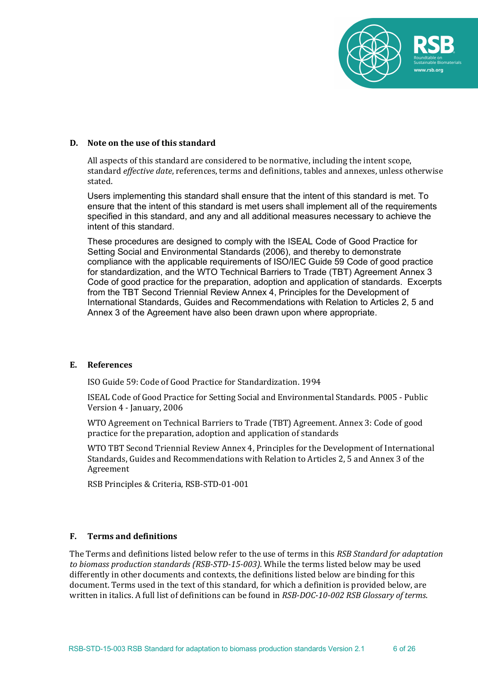

#### **D.** Note on the use of this standard

All aspects of this standard are considered to be normative, including the intent scope, standard *effective date*, references, terms and definitions, tables and annexes, unless otherwise stated.

Users implementing this standard shall ensure that the intent of this standard is met. To ensure that the intent of this standard is met users shall implement all of the requirements specified in this standard, and any and all additional measures necessary to achieve the intent of this standard.

These procedures are designed to comply with the ISEAL Code of Good Practice for Setting Social and Environmental Standards (2006), and thereby to demonstrate compliance with the applicable requirements of ISO/IEC Guide 59 Code of good practice for standardization, and the WTO Technical Barriers to Trade (TBT) Agreement Annex 3 Code of good practice for the preparation, adoption and application of standards. Excerpts from the TBT Second Triennial Review Annex 4, Principles for the Development of International Standards, Guides and Recommendations with Relation to Articles 2, 5 and Annex 3 of the Agreement have also been drawn upon where appropriate.

#### **E. References**

ISO Guide 59: Code of Good Practice for Standardization. 1994

ISEAL Code of Good Practice for Setting Social and Environmental Standards. P005 - Public Version 4 - January, 2006

WTO Agreement on Technical Barriers to Trade (TBT) Agreement. Annex 3: Code of good practice for the preparation, adoption and application of standards

WTO TBT Second Triennial Review Annex 4, Principles for the Development of International Standards, Guides and Recommendations with Relation to Articles 2, 5 and Annex 3 of the Agreement

RSB Principles & Criteria, RSB-STD-01-001

#### **F. Terms and definitions**

The Terms and definitions listed below refer to the use of terms in this *RSB Standard for adaptation* to biomass production standards *(RSB-STD-15-003)*. While the terms listed below may be used differently in other documents and contexts, the definitions listed below are binding for this document. Terms used in the text of this standard, for which a definition is provided below, are written in italics. A full list of definitions can be found in *RSB-DOC-10-002 RSB Glossary of terms*.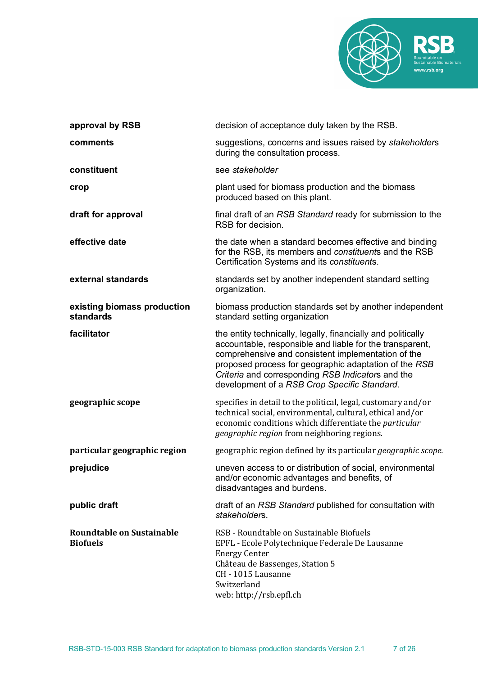

| approval by RSB                              | decision of acceptance duly taken by the RSB.                                                                                                                                                                                                                                                                                                |
|----------------------------------------------|----------------------------------------------------------------------------------------------------------------------------------------------------------------------------------------------------------------------------------------------------------------------------------------------------------------------------------------------|
| comments                                     | suggestions, concerns and issues raised by stakeholders<br>during the consultation process.                                                                                                                                                                                                                                                  |
| constituent                                  | see stakeholder                                                                                                                                                                                                                                                                                                                              |
| crop                                         | plant used for biomass production and the biomass<br>produced based on this plant.                                                                                                                                                                                                                                                           |
| draft for approval                           | final draft of an RSB Standard ready for submission to the<br>RSB for decision.                                                                                                                                                                                                                                                              |
| effective date                               | the date when a standard becomes effective and binding<br>for the RSB, its members and constituents and the RSB<br>Certification Systems and its constituents.                                                                                                                                                                               |
| external standards                           | standards set by another independent standard setting<br>organization.                                                                                                                                                                                                                                                                       |
| existing biomass production<br>standards     | biomass production standards set by another independent<br>standard setting organization                                                                                                                                                                                                                                                     |
| facilitator                                  | the entity technically, legally, financially and politically<br>accountable, responsible and liable for the transparent,<br>comprehensive and consistent implementation of the<br>proposed process for geographic adaptation of the RSB<br>Criteria and corresponding RSB Indicators and the<br>development of a RSB Crop Specific Standard. |
| geographic scope                             | specifies in detail to the political, legal, customary and/or<br>technical social, environmental, cultural, ethical and/or<br>economic conditions which differentiate the particular<br>geographic region from neighboring regions.                                                                                                          |
| particular geographic region                 | geographic region defined by its particular geographic scope.                                                                                                                                                                                                                                                                                |
| prejudice                                    | uneven access to or distribution of social, environmental<br>and/or economic advantages and benefits, of<br>disadvantages and burdens.                                                                                                                                                                                                       |
| public draft                                 | draft of an RSB Standard published for consultation with<br>stakeholders.                                                                                                                                                                                                                                                                    |
| Roundtable on Sustainable<br><b>Biofuels</b> | RSB - Roundtable on Sustainable Biofuels<br>EPFL - Ecole Polytechnique Federale De Lausanne<br><b>Energy Center</b><br>Château de Bassenges, Station 5<br>CH - 1015 Lausanne<br>Switzerland<br>web: http://rsb.epfl.ch                                                                                                                       |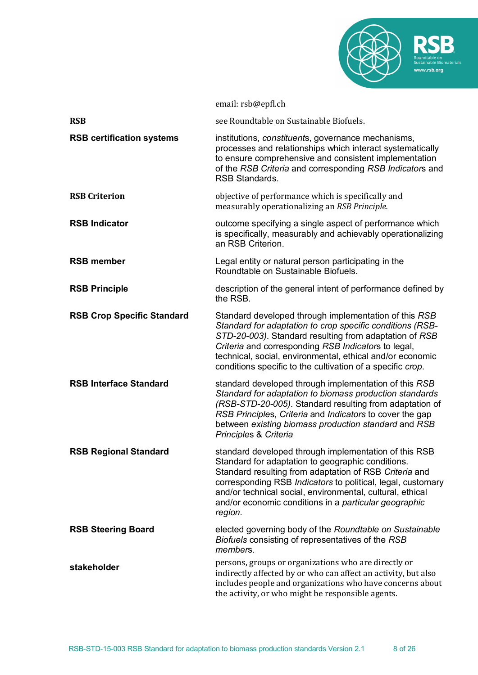

|                                   | email: rsb@epfl.ch                                                                                                                                                                                                                                                                                                                                                   |
|-----------------------------------|----------------------------------------------------------------------------------------------------------------------------------------------------------------------------------------------------------------------------------------------------------------------------------------------------------------------------------------------------------------------|
| <b>RSB</b>                        | see Roundtable on Sustainable Biofuels.                                                                                                                                                                                                                                                                                                                              |
| <b>RSB certification systems</b>  | institutions, constituents, governance mechanisms,<br>processes and relationships which interact systematically<br>to ensure comprehensive and consistent implementation<br>of the RSB Criteria and corresponding RSB Indicators and<br><b>RSB Standards.</b>                                                                                                        |
| <b>RSB Criterion</b>              | objective of performance which is specifically and<br>measurably operationalizing an RSB Principle.                                                                                                                                                                                                                                                                  |
| <b>RSB Indicator</b>              | outcome specifying a single aspect of performance which<br>is specifically, measurably and achievably operationalizing<br>an RSB Criterion.                                                                                                                                                                                                                          |
| <b>RSB member</b>                 | Legal entity or natural person participating in the<br>Roundtable on Sustainable Biofuels.                                                                                                                                                                                                                                                                           |
| <b>RSB Principle</b>              | description of the general intent of performance defined by<br>the RSB.                                                                                                                                                                                                                                                                                              |
| <b>RSB Crop Specific Standard</b> | Standard developed through implementation of this RSB<br>Standard for adaptation to crop specific conditions (RSB-<br>STD-20-003). Standard resulting from adaptation of RSB<br>Criteria and corresponding RSB Indicators to legal,<br>technical, social, environmental, ethical and/or economic<br>conditions specific to the cultivation of a specific crop.       |
| <b>RSB Interface Standard</b>     | standard developed through implementation of this RSB<br>Standard for adaptation to biomass production standards<br>(RSB-STD-20-005). Standard resulting from adaptation of<br>RSB Principles, Criteria and Indicators to cover the gap<br>between existing biomass production standard and RSB<br>Principles & Criteria                                             |
| <b>RSB Regional Standard</b>      | standard developed through implementation of this RSB<br>Standard for adaptation to geographic conditions.<br>Standard resulting from adaptation of RSB Criteria and<br>corresponding RSB Indicators to political, legal, customary<br>and/or technical social, environmental, cultural, ethical<br>and/or economic conditions in a particular geographic<br>region. |
| <b>RSB Steering Board</b>         | elected governing body of the Roundtable on Sustainable<br>Biofuels consisting of representatives of the RSB<br>members.                                                                                                                                                                                                                                             |
| stakeholder                       | persons, groups or organizations who are directly or<br>indirectly affected by or who can affect an activity, but also<br>includes people and organizations who have concerns about<br>the activity, or who might be responsible agents.                                                                                                                             |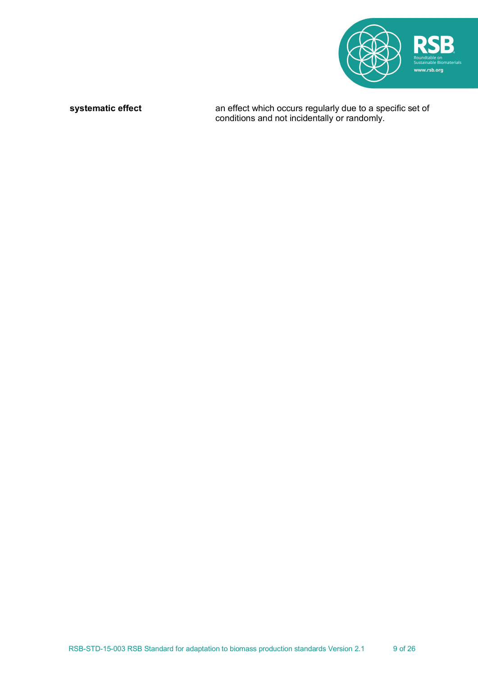

**systematic effect** an effect which occurs regularly due to a specific set of conditions and not incidentally or randomly.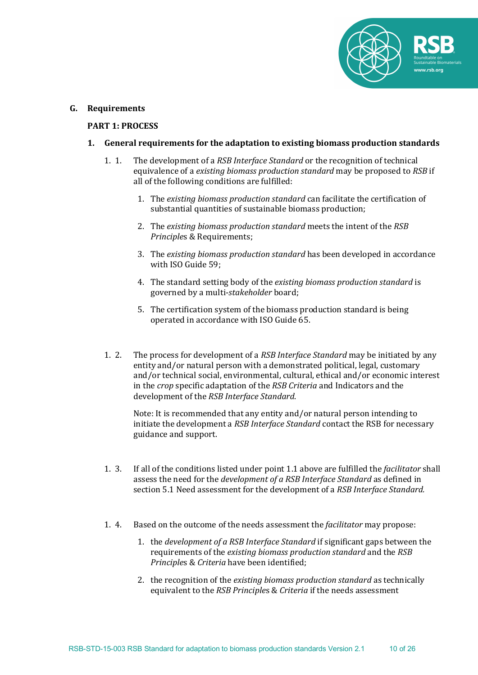

#### **G. Requirements**

#### **PART 1: PROCESS**

## **1.** General requirements for the adaptation to existing biomass production standards

- 1. 1. The development of a *RSB Interface Standard* or the recognition of technical equivalence of a *existing biomass production standard* may be proposed to *RSB* if all of the following conditions are fulfilled:
	- 1. The *existing biomass production standard* can facilitate the certification of substantial quantities of sustainable biomass production;
	- 2. The existing biomass production standard meets the intent of the *RSB Principles* & Requirements;
	- 3. The *existing biomass production standard* has been developed in accordance with ISO Guide 59;
	- 4. The standard setting body of the *existing biomass production standard* is governed by a multi-*stakeholder* board;
	- 5. The certification system of the biomass production standard is being operated in accordance with ISO Guide 65.
- 1. 2. The process for development of a *RSB Interface Standard* may be initiated by any entity and/or natural person with a demonstrated political, legal, customary and/or technical social, environmental, cultural, ethical and/or economic interest in the *crop* specific adaptation of the *RSB Criteria* and Indicators and the development of the *RSB Interface Standard*.

Note: It is recommended that any entity and/or natural person intending to initiate the development a *RSB Interface Standard* contact the RSB for necessary guidance and support.

- 1. 3. If all of the conditions listed under point 1.1 above are fulfilled the *facilitator* shall assess the need for the *development of a RSB Interface Standard* as defined in section 5.1 Need assessment for the development of a *RSB Interface Standard.*
- 1. 4. Based on the outcome of the needs assessment the *facilitator* may propose:
	- 1. the *development of a RSB Interface Standard* if significant gaps between the requirements of the *existing biomass production standard* and the *RSB Principles & Criteria* have been identified;
	- 2. the recognition of the *existing biomass production standard* as technically equivalent to the *RSB Principles & Criteria* if the needs assessment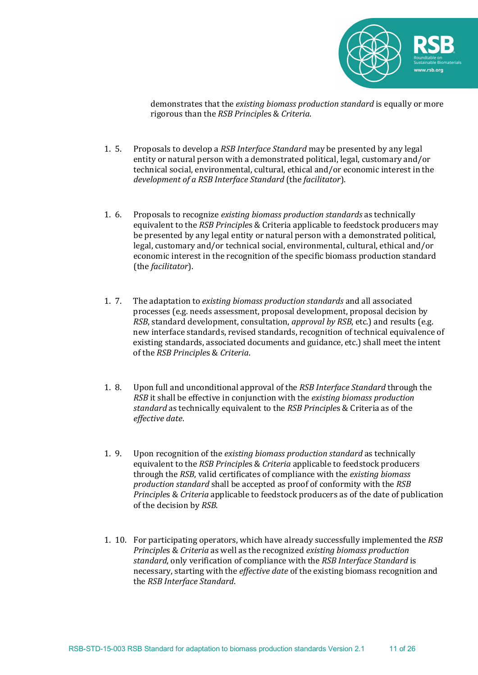

demonstrates that the *existing biomass production standard* is equally or more rigorous than the *RSB Principle*s & *Criteria*.

- 1. 5. Proposals to develop a *RSB Interface Standard* may be presented by any legal entity or natural person with a demonstrated political, legal, customary and/or technical social, environmental, cultural, ethical and/or economic interest in the *development of a RSB Interface Standard* (the *facilitator*).
- 1. 6. Proposals to recognize *existing biomass production standards* as technically equivalent to the *RSB Principles* & Criteria applicable to feedstock producers may be presented by any legal entity or natural person with a demonstrated political, legal, customary and/or technical social, environmental, cultural, ethical and/or economic interest in the recognition of the specific biomass production standard (the *facilitator*).
- 1. 7. The adaptation to *existing biomass production standards* and all associated processes (e.g. needs assessment, proposal development, proposal decision by *RSB*, standard development, consultation, *approval by RSB*, etc.) and results (e.g. new interface standards, revised standards, recognition of technical equivalence of existing standards, associated documents and guidance, etc.) shall meet the intent of the *RSB Principles & Criteria*.
- 1. 8. Upon full and unconditional approval of the *RSB Interface Standard* through the *RSB* it shall be effective in conjunction with the *existing biomass production standard* as technically equivalent to the *RSB Principles* & Criteria as of the *effective date*.
- 1. 9. Upon recognition of the *existing biomass production standard* as technically equivalent to the *RSB Principles & Criteria* applicable to feedstock producers through the *RSB*, valid certificates of compliance with the *existing biomass production standard* shall be accepted as proof of conformity with the RSB *Principles & Criteria* applicable to feedstock producers as of the date of publication of the decision by *RSB*.
- 1. 10. For participating operators, which have already successfully implemented the *RSB Principles & Criteria* as well as the recognized *existing biomass production standard*, only verification of compliance with the *RSB Interface Standard* is necessary, starting with the *effective date* of the existing biomass recognition and the *RSB Interface Standard*.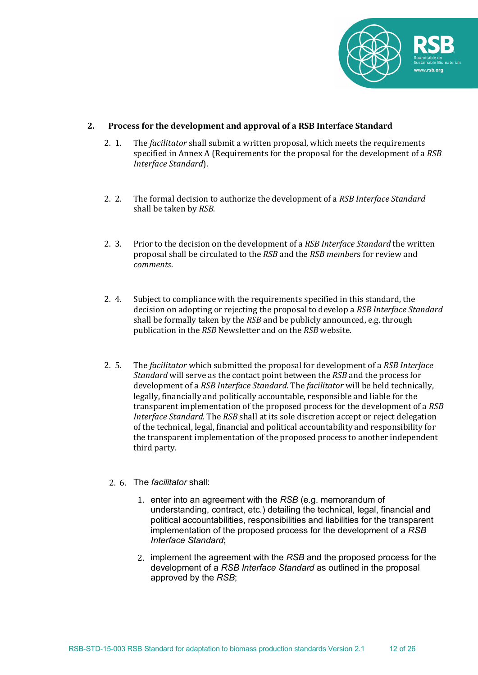

## 2. Process for the development and approval of a RSB Interface Standard

- 2. 1. The *facilitator* shall submit a written proposal, which meets the requirements specified in Annex A (Requirements for the proposal for the development of a *RSB Interface Standard*).
- 2. 2. The formal decision to authorize the development of a *RSB Interface Standard* shall be taken by *RSB*.
- 2. 3. Prior to the decision on the development of a *RSB Interface Standard* the written proposal shall be circulated to the *RSB* and the *RSB members* for review and *comments*.
- 2. 4. Subject to compliance with the requirements specified in this standard, the decision on adopting or rejecting the proposal to develop a *RSB Interface Standard* shall be formally taken by the *RSB* and be publicly announced, e.g. through publication in the *RSB* Newsletter and on the *RSB* website.
- 2. 5. The *facilitator* which submitted the proposal for development of a *RSB Interface Standard* will serve as the contact point between the *RSB* and the process for development of a *RSB Interface Standard*. The *facilitator* will be held technically, legally, financially and politically accountable, responsible and liable for the transparent implementation of the proposed process for the development of a *RSB Interface Standard*. The *RSB* shall at its sole discretion accept or reject delegation of the technical, legal, financial and political accountability and responsibility for the transparent implementation of the proposed process to another independent third party.

#### 2. 6. The *facilitator* shall:

- 1. enter into an agreement with the *RSB* (e.g. memorandum of understanding, contract, etc.) detailing the technical, legal, financial and political accountabilities, responsibilities and liabilities for the transparent implementation of the proposed process for the development of a *RSB Interface Standard*;
- 2. implement the agreement with the *RSB* and the proposed process for the development of a *RSB Interface Standard* as outlined in the proposal approved by the *RSB*;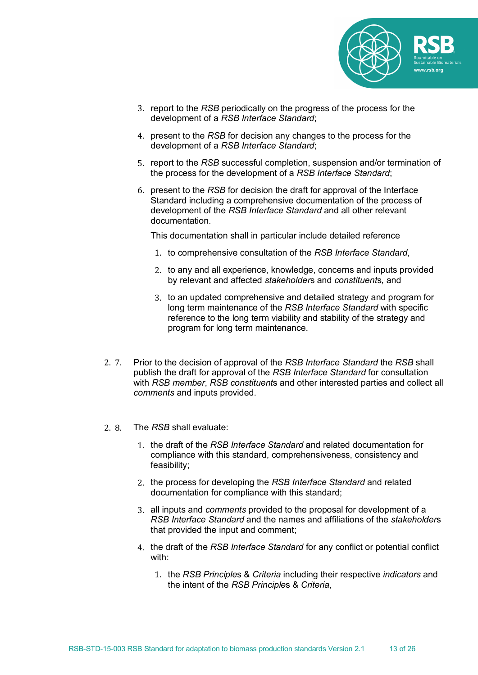

- 3. report to the *RSB* periodically on the progress of the process for the development of a *RSB Interface Standard*;
- 4. present to the *RSB* for decision any changes to the process for the development of a *RSB Interface Standard*;
- 5. report to the *RSB* successful completion, suspension and/or termination of the process for the development of a *RSB Interface Standard*;
- 6. present to the *RSB* for decision the draft for approval of the Interface Standard including a comprehensive documentation of the process of development of the *RSB Interface Standard* and all other relevant documentation.

This documentation shall in particular include detailed reference

- 1. to comprehensive consultation of the *RSB Interface Standard*,
- 2. to any and all experience, knowledge, concerns and inputs provided by relevant and affected *stakeholder*s and *constituent*s, and
- 3. to an updated comprehensive and detailed strategy and program for long term maintenance of the *RSB Interface Standard* with specific reference to the long term viability and stability of the strategy and program for long term maintenance.
- 2. 7. Prior to the decision of approval of the *RSB Interface Standard* the *RSB* shall publish the draft for approval of the *RSB Interface Standard* for consultation with *RSB member*, *RSB constituent*s and other interested parties and collect all *comments* and inputs provided.
- 2. 8. The *RSB* shall evaluate:
	- 1. the draft of the *RSB Interface Standard* and related documentation for compliance with this standard, comprehensiveness, consistency and feasibility;
	- 2. the process for developing the *RSB Interface Standard* and related documentation for compliance with this standard;
	- 3. all inputs and *comments* provided to the proposal for development of a *RSB Interface Standard* and the names and affiliations of the *stakeholder*s that provided the input and comment;
	- 4. the draft of the *RSB Interface Standard* for any conflict or potential conflict with:
		- 1. the *RSB Principle*s & *Criteria* including their respective *indicators* and the intent of the *RSB Principle*s & *Criteria*,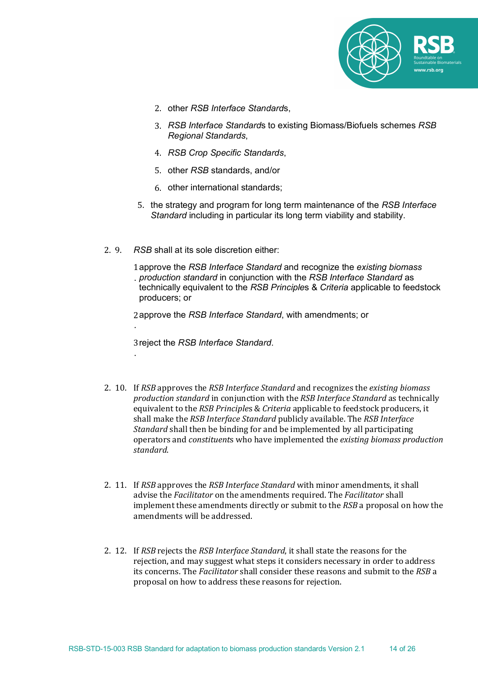

- 2. other *RSB Interface Standard*s,
- 3. *RSB Interface Standard*s to existing Biomass/Biofuels schemes *RSB Regional Standards*,
- 4. *RSB Crop Specific Standards*,
- 5. other *RSB* standards, and/or
- 6. other international standards;
- 5. the strategy and program for long term maintenance of the *RSB Interface Standard* including in particular its long term viability and stability.
- 2. 9. *RSB* shall at its sole discretion either:

.

.

1 approve the *RSB Interface Standard* and recognize the *existing biomass*  . *production standard* in conjunction with the *RSB Interface Standard* as technically equivalent to the *RSB Principle*s & *Criteria* applicable to feedstock producers; or

2 approve the *RSB Interface Standard*, with amendments; or

3 reject the *RSB Interface Standard*.

- 2. 10. If *RSB* approves the *RSB Interface Standard* and recognizes the *existing biomass production standard* in conjunction with the *RSB Interface Standard* as technically equivalent to the *RSB Principles & Criteria* applicable to feedstock producers, it shall make the *RSB Interface Standard* publicly available. The *RSB Interface Standard* shall then be binding for and be implemented by all participating operators and *constituents* who have implemented the *existing biomass production standard*.
- 2. 11. If *RSB* approves the *RSB Interface Standard* with minor amendments, it shall advise the *Facilitator* on the amendments required. The *Facilitator* shall implement these amendments directly or submit to the *RSB* a proposal on how the amendments will be addressed.
- 2. 12. If *RSB* rejects the *RSB Interface Standard*, it shall state the reasons for the rejection, and may suggest what steps it considers necessary in order to address its concerns. The *Facilitator* shall consider these reasons and submit to the *RSB* a proposal on how to address these reasons for rejection.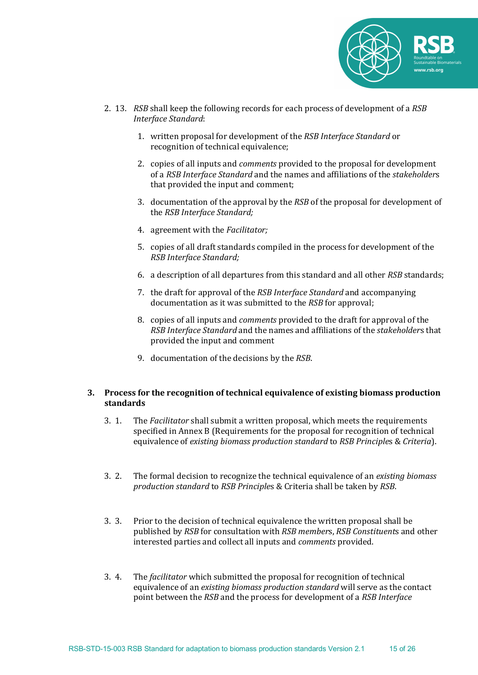

- 2. 13. *RSB* shall keep the following records for each process of development of a *RSB Interface Standard*:
	- 1. written proposal for development of the *RSB Interface Standard* or recognition of technical equivalence;
	- 2. copies of all inputs and *comments* provided to the proposal for development of a *RSB Interface Standard* and the names and affiliations of the *stakeholders* that provided the input and comment;
	- 3. documentation of the approval by the *RSB* of the proposal for development of the *RSB Interface Standard:*
	- 4. agreement with the *Facilitator*;
	- 5. copies of all draft standards compiled in the process for development of the *RSB Interface Standard;*
	- 6. a description of all departures from this standard and all other *RSB* standards;
	- 7. the draft for approval of the *RSB Interface Standard* and accompanying documentation as it was submitted to the *RSB* for approval;
	- 8. copies of all inputs and *comments* provided to the draft for approval of the *RSB Interface Standard* and the names and affiliations of the *stakeholders* that provided the input and comment
	- 9. documentation of the decisions by the *RSB*.

#### **3.** Process for the recognition of technical equivalence of existing biomass production **standards**

- 3. 1. The *Facilitator* shall submit a written proposal, which meets the requirements specified in Annex B (Requirements for the proposal for recognition of technical equivalence of *existing biomass production standard* to *RSB Principles & Criteria*).
- 3. 2. The formal decision to recognize the technical equivalence of an *existing biomass production standard* to *RSB Principle*s & Criteria shall be taken by *RSB*.
- 3. 3. Prior to the decision of technical equivalence the written proposal shall be published by *RSB* for consultation with *RSB member*s, *RSB Constituent*s and other interested parties and collect all inputs and *comments* provided.
- 3. 4. The *facilitator* which submitted the proposal for recognition of technical equivalence of an *existing biomass production standard* will serve as the contact point between the *RSB* and the process for development of a *RSB Interface*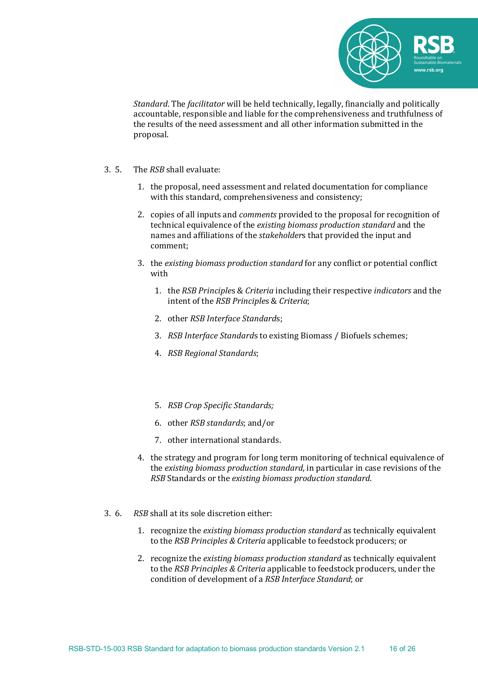

*Standard*. The *facilitator* will be held technically, legally, financially and politically accountable, responsible and liable for the comprehensiveness and truthfulness of the results of the need assessment and all other information submitted in the proposal.

- 3. 5. The *RSB* shall evaluate:
	- 1. the proposal, need assessment and related documentation for compliance with this standard, comprehensiveness and consistency;
	- 2. copies of all inputs and *comments* provided to the proposal for recognition of technical equivalence of the *existing biomass production standard* and the names and affiliations of the *stakeholders* that provided the input and comment;
	- 3. the *existing biomass production standard* for any conflict or potential conflict with
		- 1. the *RSB Principles & Criteria* including their respective *indicators* and the intent of the *RSB Principles & Criteria*;
		- 2. other *RSB Interface Standards*;
		- 3. *RSB Interface Standards* to existing Biomass / Biofuels schemes;
		- 4. *RSB Regional Standards*;
		- 5. *RSB Crop Specific Standards;*
		- 6. other *RSB standards*; and/or
		- 7. other international standards.
	- 4. the strategy and program for long term monitoring of technical equivalence of the *existing biomass production standard*, in particular in case revisions of the *RSB* Standards or the *existing biomass production standard*.
- 3. 6. *RSB* shall at its sole discretion either:
	- 1. recognize the *existing biomass production standard* as technically equivalent to the *RSB Principles & Criteria* applicable to feedstock producers; or
	- 2. recognize the *existing biomass production standard* as technically equivalent to the *RSB Principles & Criteria* applicable to feedstock producers, under the condition of development of a *RSB Interface Standard*; or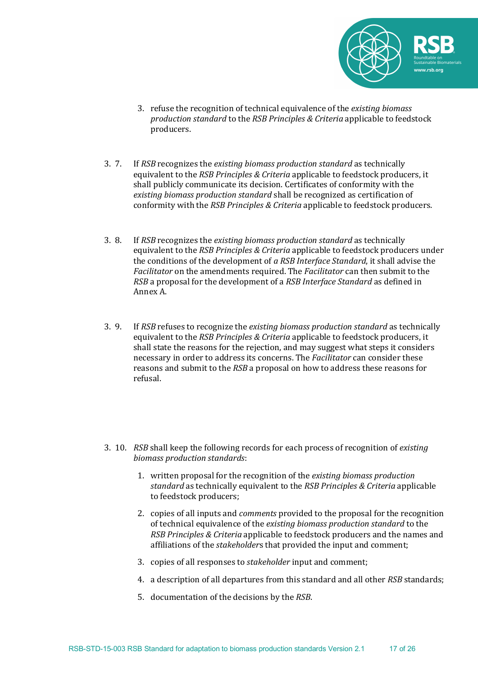

- 3. refuse the recognition of technical equivalence of the *existing biomass production standard* to the *RSB Principles & Criteria* applicable to feedstock producers.
- 3. 7. If *RSB* recognizes the *existing biomass production standard* as technically equivalent to the *RSB Principles & Criteria* applicable to feedstock producers, it shall publicly communicate its decision. Certificates of conformity with the *existing biomass production standard* shall be recognized as certification of conformity with the *RSB Principles & Criteria* applicable to feedstock producers.
- 3. 8. If *RSB* recognizes the *existing biomass production standard* as technically equivalent to the *RSB Principles & Criteria* applicable to feedstock producers under the conditions of the development of *a RSB Interface Standard*, it shall advise the *Facilitator* on the amendments required. The *Facilitator* can then submit to the *RSB* a proposal for the development of a *RSB Interface Standard* as defined in Annex A.
- 3. 9. If *RSB* refuses to recognize the *existing biomass production standard* as technically equivalent to the *RSB Principles & Criteria* applicable to feedstock producers, it shall state the reasons for the rejection, and may suggest what steps it considers necessary in order to address its concerns. The *Facilitator* can consider these reasons and submit to the *RSB* a proposal on how to address these reasons for refusal.
- 3. 10. *RSB* shall keep the following records for each process of recognition of *existing biomass production standards*:
	- 1. written proposal for the recognition of the *existing biomass production standard* as technically equivalent to the *RSB Principles & Criteria* applicable to feedstock producers;
	- 2. copies of all inputs and *comments* provided to the proposal for the recognition of technical equivalence of the *existing biomass production standard* to the *RSB Principles & Criteria* applicable to feedstock producers and the names and affiliations of the *stakeholders* that provided the input and comment;
	- 3. copies of all responses to *stakeholder* input and comment;
	- 4. a description of all departures from this standard and all other *RSB* standards;
	- 5. documentation of the decisions by the *RSB*.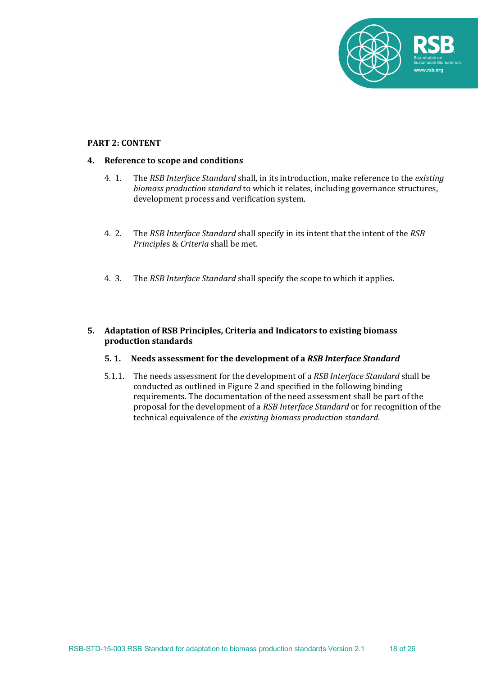

#### **PART 2: CONTENT**

## **4.** Reference to scope and conditions

- 4. 1. The *RSB Interface Standard* shall, in its introduction, make reference to the *existing biomass production standard* to which it relates, including governance structures, development process and verification system.
- 4. 2. The *RSB Interface Standard* shall specify in its intent that the intent of the *RSB Principles* & *Criteria* shall be met.
- 4. 3. The *RSB Interface Standard* shall specify the scope to which it applies.

# **5.** Adaptation of RSB Principles, Criteria and Indicators to existing biomass **production standards**

#### **5. 1.** Needs assessment for the development of a *RSB Interface Standard*

5.1.1. The needs assessment for the development of a *RSB Interface Standard* shall be conducted as outlined in Figure 2 and specified in the following binding requirements. The documentation of the need assessment shall be part of the proposal for the development of a *RSB Interface Standard* or for recognition of the technical equivalence of the *existing biomass production standard*.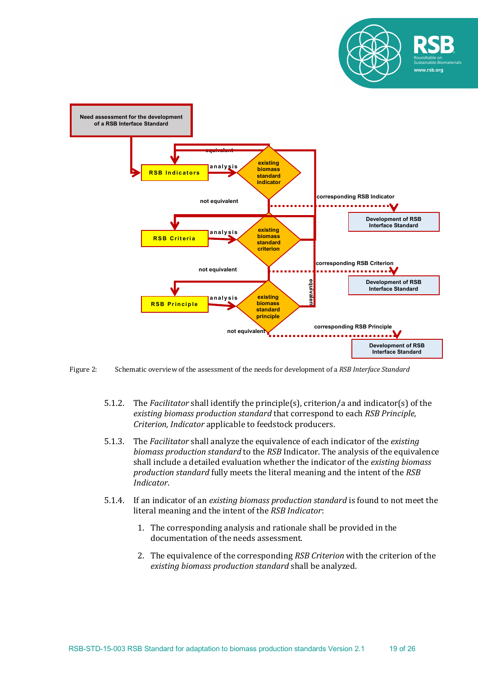



Figure 2: Schematic overview of the assessment of the needs for development of a *RSB Interface Standard* 

- 5.1.2. The *Facilitator* shall identify the principle(s), criterion/a and indicator(s) of the *existing biomass production standard* that correspond to each *RSB Principle*, *Criterion, Indicator* applicable to feedstock producers.
- 5.1.3. The *Facilitator* shall analyze the equivalence of each indicator of the existing *biomass production standard* to the *RSB* Indicator. The analysis of the equivalence shall include a detailed evaluation whether the indicator of the *existing biomass production standard* fully meets the literal meaning and the intent of the *RSB Indicator*.
- 5.1.4. If an indicator of an *existing biomass production standard* is found to not meet the literal meaning and the intent of the *RSB Indicator*:
	- 1. The corresponding analysis and rationale shall be provided in the documentation of the needs assessment.
	- 2. The equivalence of the corresponding *RSB Criterion* with the criterion of the existing biomass production standard shall be analyzed.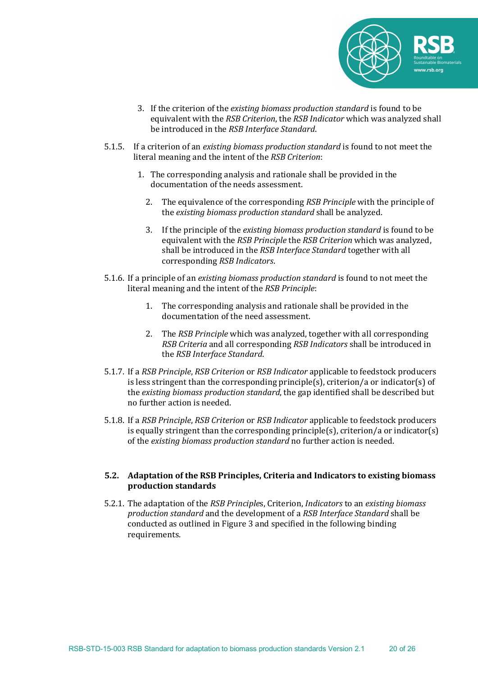

- 3. If the criterion of the *existing biomass production standard* is found to be equivalent with the *RSB Criterion*, the *RSB Indicator* which was analyzed shall be introduced in the *RSB Interface Standard*.
- 5.1.5. If a criterion of an *existing biomass production standard* is found to not meet the literal meaning and the intent of the *RSB Criterion*:
	- 1. The corresponding analysis and rationale shall be provided in the documentation of the needs assessment.
		- 2. The equivalence of the corresponding *RSB Principle* with the principle of the *existing biomass production standard* shall be analyzed.
		- 3. If the principle of the *existing biomass production standard* is found to be equivalent with the *RSB Principle* the *RSB Criterion* which was analyzed, shall be introduced in the *RSB Interface Standard* together with all corresponding *RSB Indicators*.
- 5.1.6. If a principle of an *existing biomass production standard* is found to not meet the literal meaning and the intent of the *RSB Principle*:
	- 1. The corresponding analysis and rationale shall be provided in the documentation of the need assessment.
	- 2. The *RSB Principle* which was analyzed, together with all corresponding *RSB Criteria* and all corresponding *RSB Indicators* shall be introduced in the *RSB Interface Standard*.
- 5.1.7. If a *RSB Principle, RSB Criterion* or *RSB Indicator* applicable to feedstock producers is less stringent than the corresponding principle(s), criterion/a or indicator(s) of the *existing biomass production standard*, the gap identified shall be described but no further action is needed.
- 5.1.8. If a *RSB Principle, RSB Criterion* or *RSB Indicator* applicable to feedstock producers is equally stringent than the corresponding principle(s), criterion/a or indicator(s) of the *existing biomass production standard* no further action is needed.

## **5.2.** Adaptation of the RSB Principles, Criteria and Indicators to existing biomass **production standards**

5.2.1. The adaptation of the *RSB Principles*, Criterion, *Indicators* to an *existing biomass production standard* and the development of a *RSB Interface Standard* shall be conducted as outlined in Figure 3 and specified in the following binding requirements.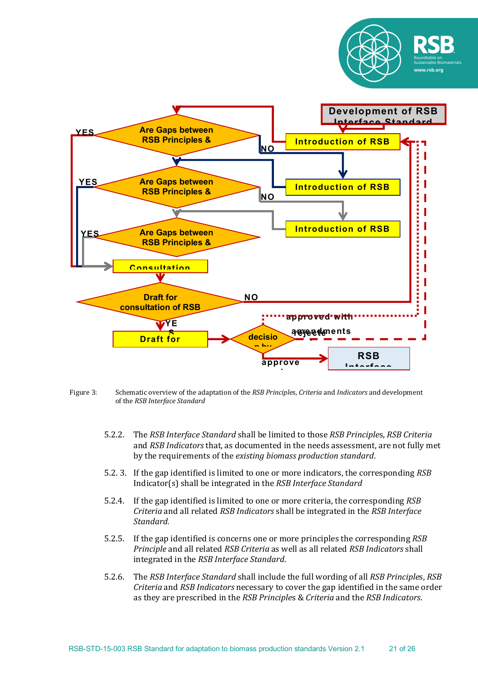

- Figure 3: Schematic overview of the adaptation of the *RSB Principles, Criteria* and *Indicators* and development of the *RSB Interface Standard* 
	- 5.2.2. The *RSB Interface Standard* shall be limited to those *RSB Principle*s, *RSB Criteria* and *RSB Indicators* that, as documented in the needs assessment, are not fully met by the requirements of the *existing biomass production standard*.
	- 5.2. 3. If the gap identified is limited to one or more indicators, the corresponding *RSB* Indicator(s) shall be integrated in the *RSB Interface Standard*
	- 5.2.4. If the gap identified is limited to one or more criteria, the corresponding *RSB Criteria* and all related *RSB Indicators* shall be integrated in the *RSB Interface Standard.*
	- 5.2.5. If the gap identified is concerns one or more principles the corresponding *RSB Principle* and all related *RSB Criteria* as well as all related *RSB Indicators* shall integrated in the *RSB Interface Standard*.
	- 5.2.6. The *RSB Interface Standard* shall include the full wording of all *RSB Principles*, *RSB Criteria* and *RSB Indicators* necessary to cover the gap identified in the same order as they are prescribed in the *RSB Principles* & *Criteria* and the *RSB Indicators*.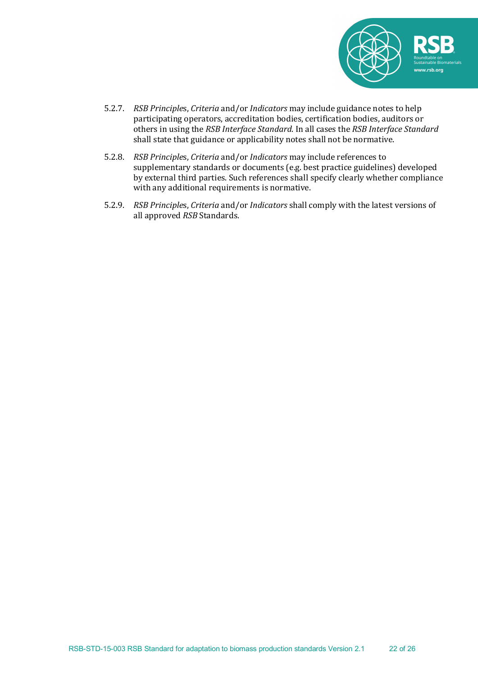

- 5.2.7. *RSB Principles, Criteria* and/or *Indicators* may include guidance notes to help participating operators, accreditation bodies, certification bodies, auditors or others in using the *RSB Interface Standard*. In all cases the *RSB Interface Standard* shall state that guidance or applicability notes shall not be normative.
- 5.2.8. *RSB Principles, Criteria* and/or *Indicators* may include references to supplementary standards or documents (e.g. best practice guidelines) developed by external third parties. Such references shall specify clearly whether compliance with any additional requirements is normative.
- 5.2.9. *RSB Principles, Criteria* and/or *Indicators* shall comply with the latest versions of all approved *RSB* Standards.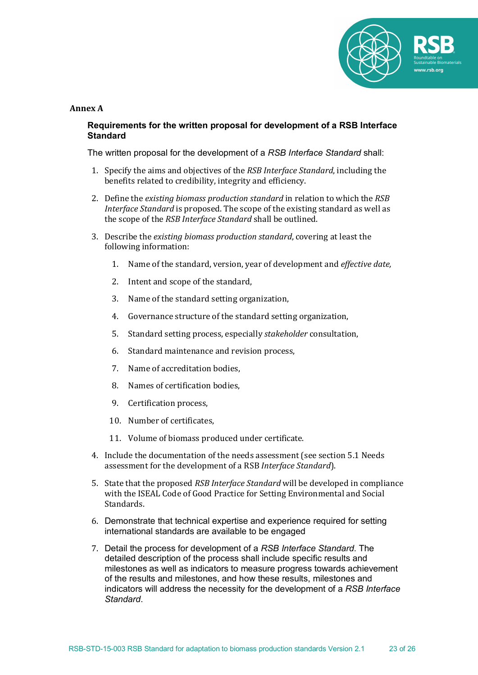

#### **Annex A**

## **Requirements for the written proposal for development of a RSB Interface Standard**

The written proposal for the development of a *RSB Interface Standard* shall:

- 1. Specify the aims and objectives of the *RSB Interface Standard*, including the benefits related to credibility, integrity and efficiency.
- 2. Define the *existing biomass production standard* in relation to which the *RSB Interface Standard* is proposed. The scope of the existing standard as well as the scope of the *RSB Interface Standard* shall be outlined.
- 3. Describe the *existing biomass production standard*, covering at least the following information:
	- 1. Name of the standard, version, year of development and *effective date*,
	- 2. Intent and scope of the standard.
	- 3. Name of the standard setting organization,
	- 4. Governance structure of the standard setting organization,
	- 5. Standard setting process, especially *stakeholder* consultation,
	- 6. Standard maintenance and revision process,
	- 7. Name of accreditation bodies.
	- 8. Names of certification bodies,
	- 9. Certification process,
	- 10. Number of certificates.
	- 11. Volume of biomass produced under certificate.
- 4. Include the documentation of the needs assessment (see section 5.1 Needs assessment for the development of a RSB *Interface Standard*).
- 5. State that the proposed *RSB Interface Standard* will be developed in compliance with the ISEAL Code of Good Practice for Setting Environmental and Social Standards.
- 6. Demonstrate that technical expertise and experience required for setting international standards are available to be engaged
- 7. Detail the process for development of a *RSB Interface Standard*. The detailed description of the process shall include specific results and milestones as well as indicators to measure progress towards achievement of the results and milestones, and how these results, milestones and indicators will address the necessity for the development of a *RSB Interface Standard*.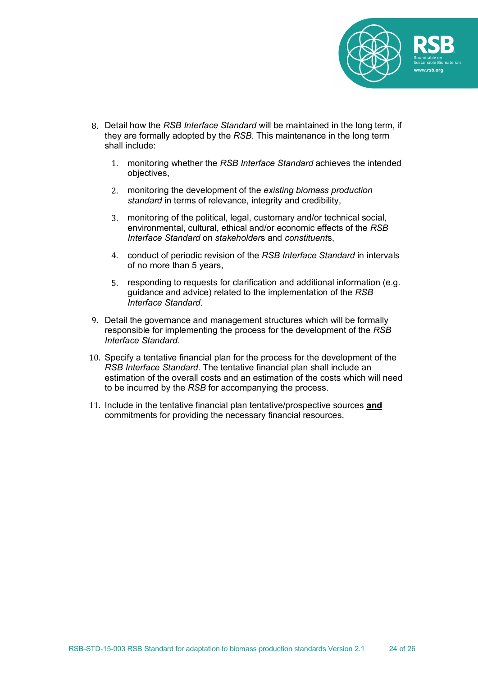

- 8. Detail how the *RSB Interface Standard* will be maintained in the long term, if they are formally adopted by the *RSB*. This maintenance in the long term shall include:
	- 1. monitoring whether the *RSB Interface Standard* achieves the intended objectives,
	- 2. monitoring the development of the *existing biomass production standard* in terms of relevance, integrity and credibility,
	- 3. monitoring of the political, legal, customary and/or technical social, environmental, cultural, ethical and/or economic effects of the *RSB Interface Standard* on *stakeholder*s and *constituent*s,
	- 4. conduct of periodic revision of the *RSB Interface Standard* in intervals of no more than 5 years,
	- 5. responding to requests for clarification and additional information (e.g. guidance and advice) related to the implementation of the *RSB Interface Standard.*
- 9. Detail the governance and management structures which will be formally responsible for implementing the process for the development of the *RSB Interface Standard*.
- 10. Specify a tentative financial plan for the process for the development of the *RSB Interface Standard*. The tentative financial plan shall include an estimation of the overall costs and an estimation of the costs which will need to be incurred by the *RSB* for accompanying the process.
- 11. Include in the tentative financial plan tentative/prospective sources **and** commitments for providing the necessary financial resources.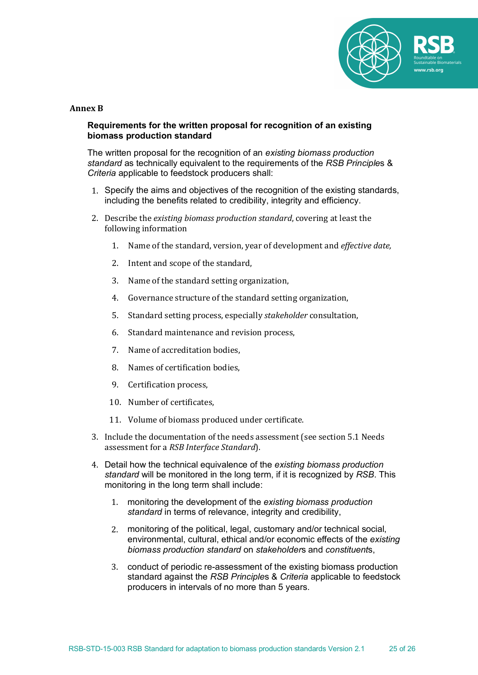

#### **Annex B**

## **Requirements for the written proposal for recognition of an existing biomass production standard**

The written proposal for the recognition of an *existing biomass production standard* as technically equivalent to the requirements of the *RSB Principle*s & *Criteria* applicable to feedstock producers shall:

- 1. Specify the aims and objectives of the recognition of the existing standards, including the benefits related to credibility, integrity and efficiency.
- 2. Describe the *existing biomass production standard*, covering at least the following information
	- 1. Name of the standard, version, year of development and *effective date*,
	- 2. Intent and scope of the standard,
	- 3. Name of the standard setting organization,
	- 4. Governance structure of the standard setting organization,
	- 5. Standard setting process, especially *stakeholder* consultation,
	- 6. Standard maintenance and revision process,
	- 7. Name of accreditation bodies.
	- 8. Names of certification bodies.
	- 9. Certification process,
	- 10. Number of certificates.
	- 11. Volume of biomass produced under certificate.
- 3. Include the documentation of the needs assessment (see section 5.1 Needs assessment for a *RSB Interface Standard*).
- 4. Detail how the technical equivalence of the *existing biomass production standard* will be monitored in the long term, if it is recognized by *RSB*. This monitoring in the long term shall include:
	- 1. monitoring the development of the *existing biomass production standard* in terms of relevance, integrity and credibility,
	- 2. monitoring of the political, legal, customary and/or technical social, environmental, cultural, ethical and/or economic effects of the *existing biomass production standard* on *stakeholder*s and *constituent*s,
	- 3. conduct of periodic re-assessment of the existing biomass production standard against the *RSB Principle*s & *Criteria* applicable to feedstock producers in intervals of no more than 5 years.